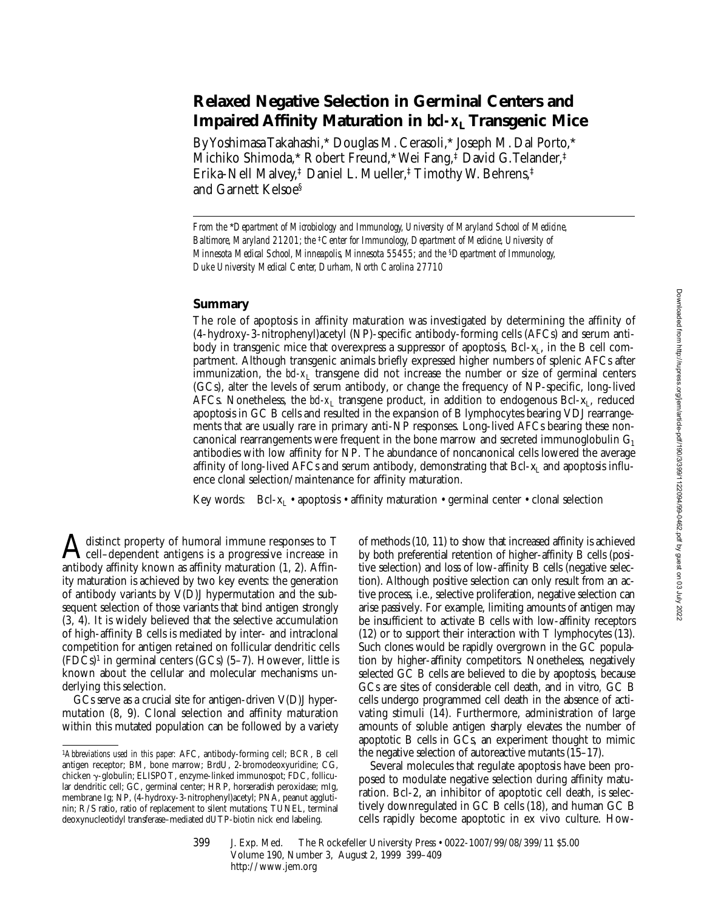# **Relaxed Negative Selection in Germinal Centers and Impaired Affinity Maturation in** *bcl-x***L Transgenic Mice**

By Yoshimasa Takahashi,\* Douglas M. Cerasoli,\* Joseph M. Dal Porto,\* Michiko Shimoda,\* Robert Freund,\* Wei Fang,‡ David G. Telander,‡ Erika-Nell Malvey,‡ Daniel L. Mueller,‡ Timothy W. Behrens,‡ and Garnett Kelsoe§

*From the* \**Department of Microbiology and Immunology, University of Maryland School of Medicine, Baltimore, Maryland 21201; the* ‡*Center for Immunology, Department of Medicine, University of Minnesota Medical School, Minneapolis, Minnesota 55455; and the* §*Department of Immunology, Duke University Medical Center, Durham, North Carolina 27710*

# **Summary**

The role of apoptosis in affinity maturation was investigated by determining the affinity of (4-hydroxy-3-nitrophenyl)acetyl (NP)-specific antibody-forming cells (AFCs) and serum antibody in transgenic mice that overexpress a suppressor of apoptosis,  $Bcl-x<sub>L</sub>$ , in the B cell compartment. Although transgenic animals briefly expressed higher numbers of splenic AFCs after immunization, the  $bd-x_L$  transgene did not increase the number or size of germinal centers (GCs), alter the levels of serum antibody, or change the frequency of NP-specific, long-lived AFCs. Nonetheless, the *bd-x*<sub>L</sub> transgene product, in addition to endogenous Bcl-x<sub>L</sub>, reduced apoptosis in GC B cells and resulted in the expansion of B lymphocytes bearing VDJ rearrangements that are usually rare in primary anti-NP responses. Long-lived AFCs bearing these noncanonical rearrangements were frequent in the bone marrow and secreted immunoglobulin  $G_1$ antibodies with low affinity for NP. The abundance of noncanonical cells lowered the average affinity of long-lived AFCs and serum antibody, demonstrating that  $Bcl-x<sub>L</sub>$  and apoptosis influence clonal selection/maintenance for affinity maturation.

Key words:  $Bcl-x<sub>L</sub>$  • apoptosis • affinity maturation • germinal center • clonal selection

 $\mathbf{A}$  distinct property of humoral immune responses to T<br>cell–dependent antigens is a progressive increase in antibody affinity known as affinity maturation (1, 2). Affinity maturation is achieved by two key events: the generation of antibody variants by V(D)J hypermutation and the subsequent selection of those variants that bind antigen strongly (3, 4). It is widely believed that the selective accumulation of high-affinity B cells is mediated by inter- and intraclonal competition for antigen retained on follicular dendritic cells  $(FDCs)^1$  in germinal centers  $(GCs)$  (5–7). However, little is known about the cellular and molecular mechanisms underlying this selection.

GCs serve as a crucial site for antigen-driven V(D)J hypermutation (8, 9). Clonal selection and affinity maturation within this mutated population can be followed by a variety of methods (10, 11) to show that increased affinity is achieved by both preferential retention of higher-affinity B cells (positive selection) and loss of low-affinity B cells (negative selection). Although positive selection can only result from an active process, i.e., selective proliferation, negative selection can arise passively. For example, limiting amounts of antigen may be insufficient to activate B cells with low-affinity receptors (12) or to support their interaction with T lymphocytes (13). Such clones would be rapidly overgrown in the GC population by higher-affinity competitors. Nonetheless, negatively selected GC B cells are believed to die by apoptosis, because GCs are sites of considerable cell death, and in vitro*,* GC B cells undergo programmed cell death in the absence of activating stimuli (14). Furthermore, administration of large amounts of soluble antigen sharply elevates the number of apoptotic B cells in GCs, an experiment thought to mimic the negative selection of autoreactive mutants (15–17).

Several molecules that regulate apoptosis have been proposed to modulate negative selection during affinity maturation. Bcl-2, an inhibitor of apoptotic cell death, is selectively downregulated in GC B cells (18), and human GC B cells rapidly become apoptotic in ex vivo culture. How-

<sup>1</sup>*Abbreviations used in this paper:* AFC, antibody-forming cell; BCR, B cell antigen receptor; BM, bone marrow; BrdU, 2-bromodeoxyuridine; CG, chicken g-globulin; ELISPOT, enzyme-linked immunospot; FDC, follicular dendritic cell; GC, germinal center; HRP, horseradish peroxidase; mIg, membrane Ig; NP, (4-hydroxy-3-nitrophenyl)acetyl; PNA, peanut agglutinin; R/S ratio, ratio of replacement to silent mutations; TUNEL, terminal deoxynucleotidyl transferase–mediated dUTP-biotin nick end labeling.

<sup>399</sup> J. Exp. Med. The Rockefeller University Press • 0022-1007/99/08/399/11 \$5.00 Volume 190, Number 3, August 2, 1999 399–409 http://www.jem.org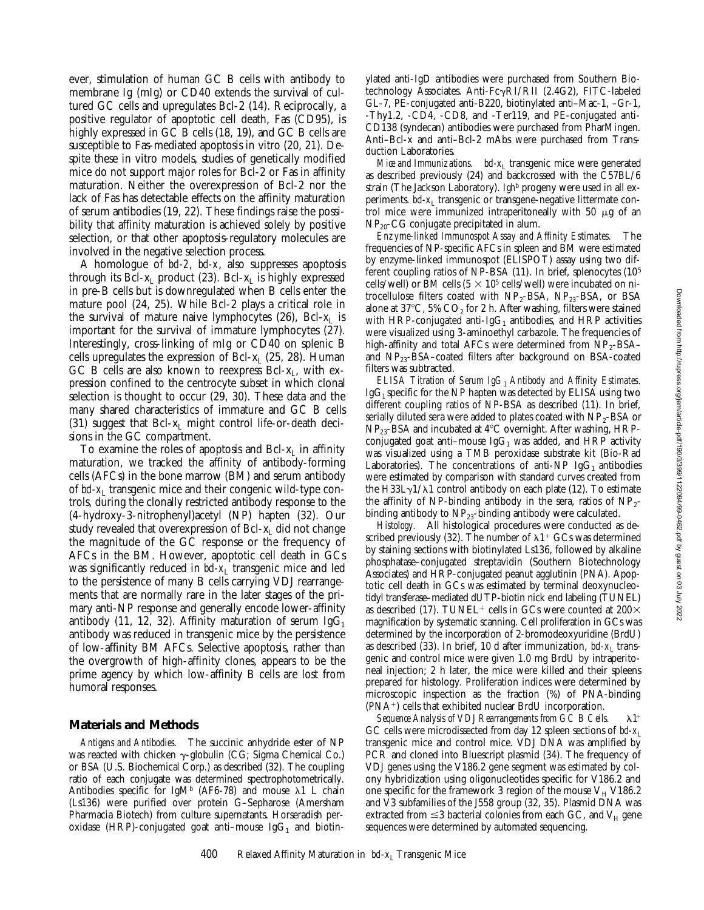ever, stimulation of human GC B cells with antibody to membrane Ig (mIg) or CD40 extends the survival of cultured GC cells and upregulates Bcl-2 (14). Reciprocally, a positive regulator of apoptotic cell death, Fas (CD95), is highly expressed in GC B cells (18, 19), and GC B cells are susceptible to Fas-mediated apoptosis in vitro (20, 21). Despite these in vitro models, studies of genetically modified mice do not support major roles for Bcl-2 or Fas in affinity maturation. Neither the overexpression of Bcl-2 nor the lack of Fas has detectable effects on the affinity maturation of serum antibodies (19, 22). These findings raise the possibility that affinity maturation is achieved solely by positive selection, or that other apoptosis-regulatory molecules are involved in the negative selection process.

A homologue of *bcl-2*, *bcl-x*, also suppresses apoptosis through its Bcl- $x_L$  product (23). Bcl- $x_L$  is highly expressed in pre-B cells but is downregulated when B cells enter the mature pool (24, 25). While Bcl-2 plays a critical role in the survival of mature naive lymphocytes  $(26)$ , Bcl- $x<sub>L</sub>$  is important for the survival of immature lymphocytes (27). Interestingly, cross-linking of mIg or CD40 on splenic B cells upregulates the expression of Bcl- $x_L$  (25, 28). Human GC B cells are also known to reexpress Bcl- $x_L$ , with expression confined to the centrocyte subset in which clonal selection is thought to occur (29, 30). These data and the many shared characteristics of immature and GC B cells (31) suggest that  $Bcl-x_L$  might control life-or-death decisions in the GC compartment.

To examine the roles of apoptosis and Bcl- $x<sub>L</sub>$  in affinity maturation, we tracked the affinity of antibody-forming cells (AFCs) in the bone marrow (BM) and serum antibody of *bcl-x*<sub>L</sub> transgenic mice and their congenic wild-type controls, during the clonally restricted antibody response to the (4-hydroxy-3-nitrophenyl)acetyl (NP) hapten (32). Our study revealed that overexpression of Bcl-xL did not change the magnitude of the GC response or the frequency of AFCs in the BM. However, apoptotic cell death in GCs was significantly reduced in *bcl-x*<sub>L</sub> transgenic mice and led to the persistence of many B cells carrying VDJ rearrangements that are normally rare in the later stages of the primary anti-NP response and generally encode lower-affinity antibody (11, 12, 32). Affinity maturation of serum  $IgG_1$ antibody was reduced in transgenic mice by the persistence of low-affinity BM AFCs. Selective apoptosis, rather than the overgrowth of high-affinity clones, appears to be the prime agency by which low-affinity B cells are lost from humoral responses.

#### **Materials and Methods**

*Antigens and Antibodies.* The succinic anhydride ester of NP was reacted with chicken  $\gamma$ -globulin (CG; Sigma Chemical Co.) or BSA (U.S. Biochemical Corp.) as described (32). The coupling ratio of each conjugate was determined spectrophotometrically. Antibodies specific for IgM<sup>b</sup> (AF6-78) and mouse  $\lambda$ 1 L chain (Ls136) were purified over protein G–Sepharose (Amersham Pharmacia Biotech) from culture supernatants. Horseradish peroxidase (HRP)-conjugated goat anti-mouse  $IgG_1$  and biotinylated anti-IgD antibodies were purchased from Southern Biotechnology Associates. Anti-Fc $\gamma$ RI/RII (2.4G2), FITC-labeled GL-7, PE-conjugated anti-B220, biotinylated anti–Mac-1, –Gr-1, -Thy1.2, -CD4, -CD8, and -Ter119, and PE-conjugated anti-CD138 (syndecan) antibodies were purchased from PharMingen. Anti–Bcl-x and anti–Bcl-2 mAbs were purchased from Transduction Laboratories.

*Mice and Immunizations. bcl-x*<sub>L</sub> transgenic mice were generated as described previously (24) and backcrossed with the C57BL/6 strain (The Jackson Laboratory). *Igh*<sup>b</sup> progeny were used in all experiments. *bcl-x*<sub>L</sub> transgenic or transgene-negative littermate control mice were immunized intraperitoneally with  $50 \mu g$  of an  $NP<sub>20</sub>-CG$  conjugate precipitated in alum.

*Enzyme-linked Immunospot Assay and Affinity Estimates.* The frequencies of NP-specific AFCs in spleen and BM were estimated by enzyme-linked immunospot (ELISPOT) assay using two different coupling ratios of NP-BSA (11). In brief, splenocytes (105 cells/well) or BM cells  $(5 \times 10^5 \text{ cells/well})$  were incubated on nitrocellulose filters coated with  $NP_2$ -BSA,  $NP_{23}$ -BSA, or BSA alone at 37°C, 5%  $CO<sub>2</sub>$  for 2 h. After washing, filters were stained with HRP-conjugated anti-Ig $G_1$  antibodies, and HRP activities were visualized using 3-aminoethyl carbazole. The frequencies of high-affinity and total AFCs were determined from  $NP_2$ -BSA– and  $NP_{23}$ -BSA–coated filters after background on BSA-coated filters was subtracted.

*ELISA Titration of Serum IgG<sub>1</sub> Antibody and Affinity Estimates.*  $IgG_1$  specific for the NP hapten was detected by ELISA using two different coupling ratios of NP-BSA as described (11). In brief, serially diluted sera were added to plates coated with  $NP_2$ -BSA or NP<sub>23</sub>-BSA and incubated at 4°C overnight. After washing, HRPconjugated goat anti-mouse Ig $G_1$  was added, and HRP activity was visualized using a TMB peroxidase substrate kit (Bio-Rad Laboratories). The concentrations of anti-NP IgG<sub>1</sub> antibodies were estimated by comparison with standard curves created from the H33L $\gamma$ 1/ $\lambda$ 1 control antibody on each plate (12). To estimate the affinity of NP-binding antibody in the sera, ratios of  $NP_{2}$ binding antibody to  $NP_{23}$ -binding antibody were calculated.

*Histology.* All histological procedures were conducted as described previously (32). The number of  $\lambda$ 1<sup>+</sup> GCs was determined by staining sections with biotinylated Ls136, followed by alkaline phosphatase–conjugated streptavidin (Southern Biotechnology Associates) and HRP-conjugated peanut agglutinin (PNA). Apoptotic cell death in GCs was estimated by terminal deoxynucleotidyl transferase–mediated dUTP-biotin nick end labeling (TUNEL) as described (17). TUNEL<sup>+</sup> cells in GCs were counted at  $200 \times$ magnification by systematic scanning. Cell proliferation in GCs was determined by the incorporation of 2-bromodeoxyuridine (BrdU) as described  $(33)$ . In brief, 10 d after immunization, *bcl-x<sub>L</sub>* transgenic and control mice were given 1.0 mg BrdU by intraperitoneal injection; 2 h later, the mice were killed and their spleens prepared for histology. Proliferation indices were determined by microscopic inspection as the fraction (%) of PNA-binding (PNA<sup>+</sup>) cells that exhibited nuclear BrdU incorporation.

Sequence Analysis of VDJ Rearrangements from GC B Cells.  $\lambda$  1<sup>+</sup> GC cells were microdissected from day 12 spleen sections of *bd-x*<sub>L</sub> transgenic mice and control mice. VDJ DNA was amplified by PCR and cloned into Bluescript plasmid (34). The frequency of VDJ genes using the V186.2 gene segment was estimated by colony hybridization using oligonucleotides specific for V186.2 and one specific for the framework 3 region of the mouse  $V_H$  V186.2 and V3 subfamilies of the J558 group (32, 35). Plasmid DNA was extracted from  $\leq$ 3 bacterial colonies from each GC, and V<sub>H</sub> gene sequences were determined by automated sequencing.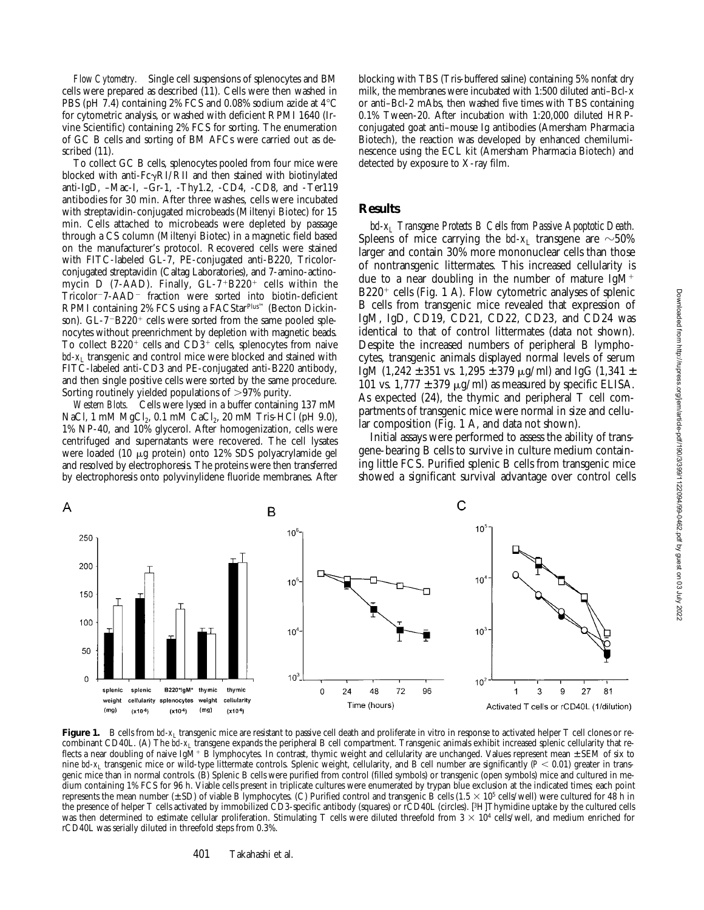*Flow Cytometry.* Single cell suspensions of splenocytes and BM cells were prepared as described (11). Cells were then washed in PBS (pH 7.4) containing 2% FCS and 0.08% sodium azide at  $4^{\circ}$ C for cytometric analysis, or washed with deficient RPMI 1640 (Irvine Scientific) containing 2% FCS for sorting. The enumeration of GC B cells and sorting of BM AFCs were carried out as described (11).

To collect GC B cells, splenocytes pooled from four mice were blocked with anti- $Fc\gamma RI/RI$  and then stained with biotinylated anti-IgD, –Mac-I, –Gr-1, -Thy1.2, -CD4, -CD8, and -Ter119 antibodies for 30 min. After three washes, cells were incubated with streptavidin-conjugated microbeads (Miltenyi Biotec) for 15 min. Cells attached to microbeads were depleted by passage through a CS column (Miltenyi Biotec) in a magnetic field based on the manufacturer's protocol. Recovered cells were stained with FITC-labeled GL-7, PE-conjugated anti-B220, Tricolorconjugated streptavidin (Caltag Laboratories), and 7-amino-actinomycin D (7-AAD). Finally,  $GL-7+B220^+$  cells within the Tricolor<sup>-7</sup>-AAD<sup>-</sup> fraction were sorted into biotin-deficient RPMI containing 2% FCS using a FACStarPlus™ (Becton Dickinson).  $GL-7-B220^+$  cells were sorted from the same pooled splenocytes without preenrichment by depletion with magnetic beads. To collect  $B220^+$  cells and  $CD3^+$  cells, splenocytes from naive bcl-x<sub>L</sub> transgenic and control mice were blocked and stained with FITC-labeled anti-CD3 and PE-conjugated anti-B220 antibody, and then single positive cells were sorted by the same procedure. Sorting routinely yielded populations of  $>97\%$  purity.

*Western Blots.* Cells were lysed in a buffer containing 137 mM NaCl, 1 mM  $MgCl<sub>2</sub>$ , 0.1 mM  $CaCl<sub>2</sub>$ , 20 mM Tris-HCl (pH 9.0), 1% NP-40, and 10% glycerol. After homogenization, cells were centrifuged and supernatants were recovered. The cell lysates were loaded (10 mg protein) onto 12% SDS polyacrylamide gel and resolved by electrophoresis. The proteins were then transferred by electrophoresis onto polyvinylidene fluoride membranes. After blocking with TBS (Tris-buffered saline) containing 5% nonfat dry milk, the membranes were incubated with 1:500 diluted anti–Bcl-x or anti–Bcl-2 mAbs, then washed five times with TBS containing 0.1% Tween-20. After incubation with 1:20,000 diluted HRPconjugated goat anti–mouse Ig antibodies (Amersham Pharmacia Biotech), the reaction was developed by enhanced chemiluminescence using the ECL kit (Amersham Pharmacia Biotech) and detected by exposure to X-ray film.

#### **Results**

*bcl-xL Transgene Protects B Cells from Passive Apoptotic Death.* Spleens of mice carrying the  $bd$ - $x_L$  transgene are  $\sim$ 50% larger and contain 30% more mononuclear cells than those of nontransgenic littermates. This increased cellularity is due to a near doubling in the number of mature  $IgM^+$  $B220<sup>+</sup>$  cells (Fig. 1 A). Flow cytometric analyses of splenic B cells from transgenic mice revealed that expression of IgM, IgD, CD19, CD21, CD22, CD23, and CD24 was identical to that of control littermates (data not shown). Despite the increased numbers of peripheral B lymphocytes, transgenic animals displayed normal levels of serum IgM (1,242  $\pm$  351 vs. 1,295  $\pm$  379  $\mu$ g/ml) and IgG (1,341  $\pm$ 101 vs.  $1,777 \pm 379$   $\mu$ g/ml) as measured by specific ELISA. As expected (24), the thymic and peripheral T cell compartments of transgenic mice were normal in size and cellular composition (Fig. 1 A, and data not shown).

Initial assays were performed to assess the ability of transgene-bearing B cells to survive in culture medium containing little FCS. Purified splenic B cells from transgenic mice showed a significant survival advantage over control cells



Figure 1. B cells from *bcl-x*<sub>L</sub> transgenic mice are resistant to passive cell death and proliferate in vitro in response to activated helper T cell clones or recombinant CD40L. (A) The *bd-x*<sub>L</sub> transgene expands the peripheral B cell compartment. Transgenic animals exhibit increased splenic cellularity that reflects a near doubling of naive IgM<sup>+</sup> B lymphocytes. In contrast, thymic weight and cellularity are unchanged. Values represent mean ± SEM of six to nine *bd-x*<sub>L</sub> transgenic mice or wild-type littermate controls. Splenic weight, cellularity, and B cell number are significantly (*P* < 0.01) greater in transgenic mice than in normal controls. (B) Splenic B cells were purified from control (filled symbols) or transgenic (open symbols) mice and cultured in medium containing 1% FCS for 96 h. Viable cells present in triplicate cultures were enumerated by trypan blue exclusion at the indicated times; each point represents the mean number  $(\pm SD)$  of viable B lymphocytes. (C) Purified control and transgenic B cells (1.5  $\times$  10<sup>5</sup> cells/well) were cultured for 48 h in the presence of helper T cells activated by immobilized CD3-specific antibody (squares) or rCD40L (circles). [3H]Thymidine uptake by the cultured cells was then determined to estimate cellular proliferation. Stimulating T cells were diluted threefold from  $3 \times 10^4$  cells/well, and medium enriched for rCD40L was serially diluted in threefold steps from 0.3%.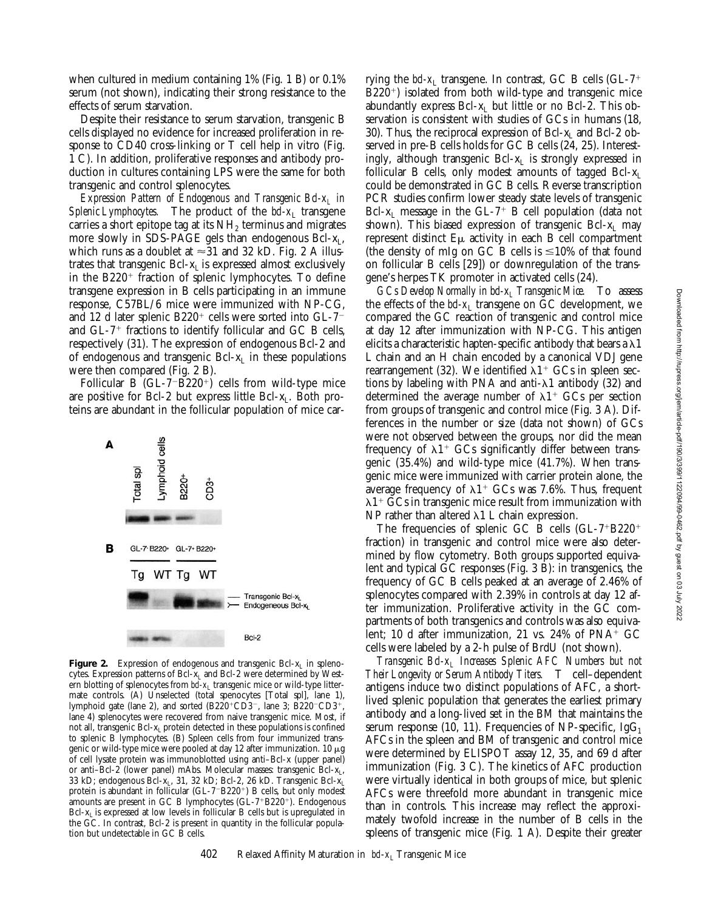when cultured in medium containing 1% (Fig. 1 B) or 0.1% serum (not shown), indicating their strong resistance to the effects of serum starvation.

Despite their resistance to serum starvation, transgenic B cells displayed no evidence for increased proliferation in response to CD40 cross-linking or T cell help in vitro (Fig. 1 C). In addition, proliferative responses and antibody production in cultures containing LPS were the same for both transgenic and control splenocytes.

*Expression Pattern of Endogenous and Transgenic Bcl-x<sub>L</sub> in Splenic Lymphocytes.* The product of the  $bcl-x_L$  transgene carries a short epitope tag at its  $NH<sub>2</sub>$  terminus and migrates more slowly in SDS-PAGE gels than endogenous  $Bcl-x<sub>L</sub>$ , which runs as a doublet at  $\approx$ 31 and 32 kD. Fig. 2 A illustrates that transgenic  $Bcl-x<sub>L</sub>$  is expressed almost exclusively in the  $B220<sup>+</sup>$  fraction of splenic lymphocytes. To define transgene expression in B cells participating in an immune response, C57BL/6 mice were immunized with NP-CG, and 12 d later splenic  $B220^+$  cells were sorted into GL-7<sup>-</sup> and  $GL-7$ <sup>+</sup> fractions to identify follicular and  $GC$  B cells, respectively (31). The expression of endogenous Bcl-2 and of endogenous and transgenic Bcl- $x_L$  in these populations were then compared (Fig. 2 B).

Follicular B  $(GL-7-B220<sup>+</sup>)$  cells from wild-type mice are positive for Bcl-2 but express little Bcl- $x_L$ . Both proteins are abundant in the follicular population of mice car-



Figure 2. Expression of endogenous and transgenic Bcl-x<sub>L</sub> in splenocytes. Expression patterns of Bcl-XL and Bcl-2 were determined by Western blotting of splenocytes from *bcl-x*<sub>L</sub> transgenic mice or wild-type littermate controls. (A) Unselected (total spenocytes [Total spl], lane 1), lymphoid gate (lane 2), and sorted  $(B220^{\circ}CD3^{-})$ , lane 3;  $\overline{B}220^{-}CD3^{+}$ , lane 4) splenocytes were recovered from naive transgenic mice. Most, if not all, transgenic Bcl-x<sub>L</sub> protein detected in these populations is confined to splenic B lymphocytes. (B) Spleen cells from four immunized transgenic or wild-type mice were pooled at day 12 after immunization. 10  $\mu$ g of cell lysate protein was immunoblotted using anti–Bcl-x (upper panel) or anti-Bcl-2 (lower panel) mAbs. Molecular masses: transgenic Bcl- $x_L$ , 33 kD; endogenous Bcl-x<sub>L</sub>, 31, 32 kD; Bcl-2, 26 kD. Transgenic Bcl-x<sub>L</sub> protein is abundant in follicular (GL-7-B220<sup>+</sup>) B cells, but only modest amounts are present in GC B lymphocytes (GL- $7+B220+$ ). Endogenous  $Bcl-x<sub>L</sub>$  is expressed at low levels in follicular B cells but is upregulated in the GC. In contrast, Bcl-2 is present in quantity in the follicular population but undetectable in GC B cells.

rying the  $bd$ - $x_L$  transgene. In contrast, GC B cells (GL- $7^+$  $B220<sup>+</sup>$ ) isolated from both wild-type and transgenic mice abundantly express  $Bcl-x_L$  but little or no Bcl-2. This observation is consistent with studies of GCs in humans (18, 30). Thus, the reciprocal expression of Bcl- $x<sub>L</sub>$  and Bcl-2 observed in pre-B cells holds for GC B cells (24, 25). Interestingly, although transgenic Bcl- $x_L$  is strongly expressed in follicular B cells, only modest amounts of tagged  $Bcl-x<sub>L</sub>$ could be demonstrated in GC B cells. Reverse transcription PCR studies confirm lower steady state levels of transgenic Bcl- $x_L$  message in the GL-7<sup>+</sup> B cell population (data not shown). This biased expression of transgenic Bcl- $x_L$  may represent distinct  $E\mu$  activity in each B cell compartment (the density of mIg on GC B cells is  $\leq 10\%$  of that found on follicular B cells [29]) or downregulation of the transgene's herpes TK promoter in activated cells (24).

*GCs Develop Normally in bcl-xL Transgenic Mice.* To assess the effects of the  $bd$ - $x_L$  transgene on GC development, we compared the GC reaction of transgenic and control mice at day 12 after immunization with NP-CG. This antigen elicits a characteristic hapten-specific antibody that bears a  $\lambda$ 1 L chain and an H chain encoded by a canonical VDJ gene rearrangement (32). We identified  $\lambda$ 1<sup>+</sup> GCs in spleen sections by labeling with PNA and anti- $\lambda$ 1 antibody (32) and determined the average number of  $\lambda$ 1<sup>+</sup> GCs per section from groups of transgenic and control mice (Fig. 3 A). Differences in the number or size (data not shown) of GCs were not observed between the groups, nor did the mean frequency of  $\lambda$ 1<sup>+</sup> GCs significantly differ between transgenic (35.4%) and wild-type mice (41.7%). When transgenic mice were immunized with carrier protein alone, the average frequency of  $\lambda$ 1<sup>+</sup> GCs was 7.6%. Thus, frequent  $\lambda$ 1<sup>+</sup> GCs in transgenic mice result from immunization with NP rather than altered  $\lambda$ 1 L chain expression.

The frequencies of splenic GC B cells  $(GL-7+2220+$ fraction) in transgenic and control mice were also determined by flow cytometry. Both groups supported equivalent and typical GC responses (Fig. 3 B): in transgenics, the frequency of GC B cells peaked at an average of 2.46% of splenocytes compared with 2.39% in controls at day 12 after immunization. Proliferative activity in the GC compartments of both transgenics and controls was also equivalent; 10 d after immunization, 21 vs.  $24\%$  of PNA<sup>+</sup> GC cells were labeled by a 2-h pulse of BrdU (not shown).

*Transgenic Bcl-xL Increases Splenic AFC Numbers but not Their Longevity or Serum Antibody Titers.* T cell–dependent antigens induce two distinct populations of AFC, a shortlived splenic population that generates the earliest primary antibody and a long-lived set in the BM that maintains the serum response (10, 11). Frequencies of NP-specific, Ig $G_1$ AFCs in the spleen and BM of transgenic and control mice were determined by ELISPOT assay 12, 35, and 69 d after immunization (Fig. 3 C). The kinetics of AFC production were virtually identical in both groups of mice, but splenic AFCs were threefold more abundant in transgenic mice than in controls. This increase may reflect the approximately twofold increase in the number of B cells in the spleens of transgenic mice (Fig. 1 A). Despite their greater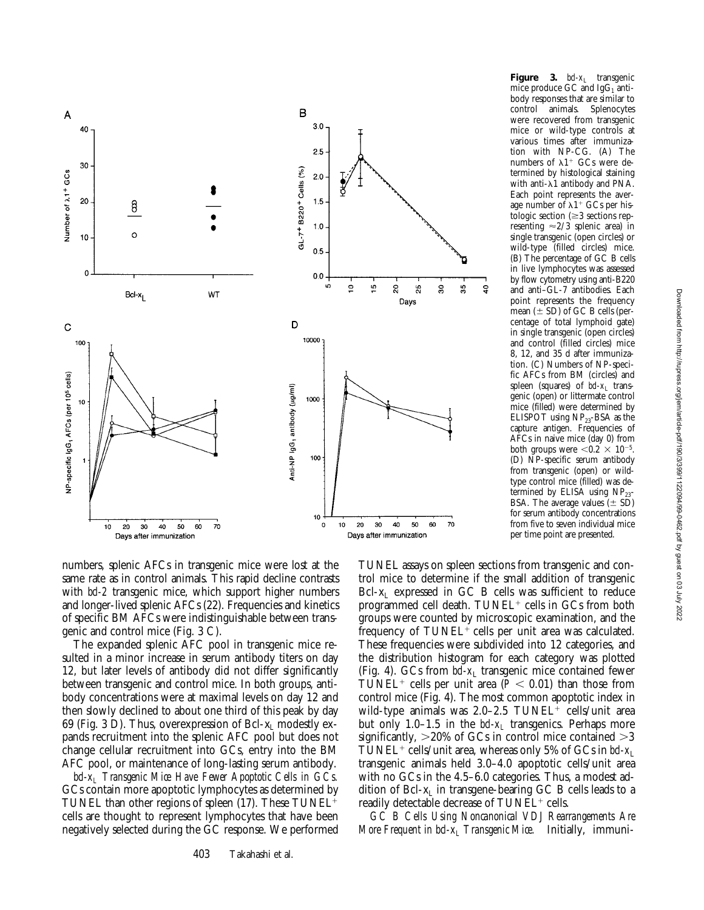

numbers, splenic AFCs in transgenic mice were lost at the same rate as in control animals. This rapid decline contrasts with *bcl-2* transgenic mice, which support higher numbers and longer-lived splenic AFCs (22). Frequencies and kinetics of specific BM AFCs were indistinguishable between transgenic and control mice (Fig. 3 C).

The expanded splenic AFC pool in transgenic mice resulted in a minor increase in serum antibody titers on day 12, but later levels of antibody did not differ significantly between transgenic and control mice. In both groups, antibody concentrations were at maximal levels on day 12 and then slowly declined to about one third of this peak by day 69 (Fig. 3 D). Thus, overexpression of Bcl- $x_1$  modestly expands recruitment into the splenic AFC pool but does not change cellular recruitment into GCs, entry into the BM AFC pool, or maintenance of long-lasting serum antibody.

*bcl-xL Transgenic Mice Have Fewer Apoptotic Cells in GCs.* GCs contain more apoptotic lymphocytes as determined by TUNEL than other regions of spleen  $(17)$ . These TUNEL<sup>+</sup> cells are thought to represent lymphocytes that have been negatively selected during the GC response. We performed

**Figure** 3.  $bd-x_1$  transgenic mice produce GC and  $IgG_1$  antibody responses that are similar to control animals. Splenocytes were recovered from transgenic mice or wild-type controls at various times after immunization with NP-CG. (A) The numbers of  $\lambda$ 1<sup>+</sup> GCs were determined by histological staining with anti- $\lambda$ 1 antibody and PNA. Each point represents the average number of  $\lambda$ 1<sup>+</sup> GCs per histologic section  $(\geq 3$  sections representing  $\approx$  2/3 splenic area) in single transgenic (open circles) or wild-type (filled circles) mice. (B) The percentage of GC B cells in live lymphocytes was assessed by flow cytometry using anti-B220 and anti–GL-7 antibodies. Each point represents the frequency mean  $(\pm SD)$  of GC B cells (percentage of total lymphoid gate) in single transgenic (open circles) and control (filled circles) mice 8, 12, and 35 d after immunization. (C) Numbers of NP-specific AFCs from BM (circles) and spleen (squares) of *bd-x*<sub>L</sub> transgenic (open) or littermate control mice (filled) were determined by ELISPOT using NP<sub>23</sub>-BSA as the capture antigen. Frequencies of AFCs in naive mice (day 0) from both groups were  $< 0.2 \times 10^{-5}$ . (D) NP-specific serum antibody from transgenic (open) or wildtype control mice (filled) was determined by ELISA using NP<sub>23</sub>-BSA. The average values  $(\pm SD)$ for serum antibody concentrations from five to seven individual mice per time point are presented.

TUNEL assays on spleen sections from transgenic and control mice to determine if the small addition of transgenic  $Bcl-x<sub>L</sub>$  expressed in GC B cells was sufficient to reduce programmed cell death. TUNEL<sup>+</sup> cells in GCs from both groups were counted by microscopic examination, and the frequency of  $TUNEL^+$  cells per unit area was calculated. These frequencies were subdivided into 12 categories, and the distribution histogram for each category was plotted (Fig. 4). GCs from  $bd-x_L$  transgenic mice contained fewer TUNEL<sup>+</sup> cells per unit area ( $P < 0.01$ ) than those from control mice (Fig. 4). The most common apoptotic index in wild-type animals was  $2.0-2.5$  TUNEL<sup>+</sup> cells/unit area but only 1.0–1.5 in the  $bd-x_L$  transgenics. Perhaps more significantly,  $>20\%$  of GCs in control mice contained  $>3$ TUNEL<sup>+</sup> cells/unit area, whereas only 5% of GCs in *bcl-x*<sub>L</sub> transgenic animals held 3.0–4.0 apoptotic cells/unit area with no GCs in the 4.5–6.0 categories. Thus, a modest addition of  $\text{Bcl-}x_L$  in transgene-bearing  $\text{GC B}$  cells leads to a readily detectable decrease of  $TUNEL^+$  cells.

*GC B Cells Using Noncanonical VDJ Rearrangements Are More Frequent in bcl-* $x_L$  *Transgenic Mice.* Initially, immuni-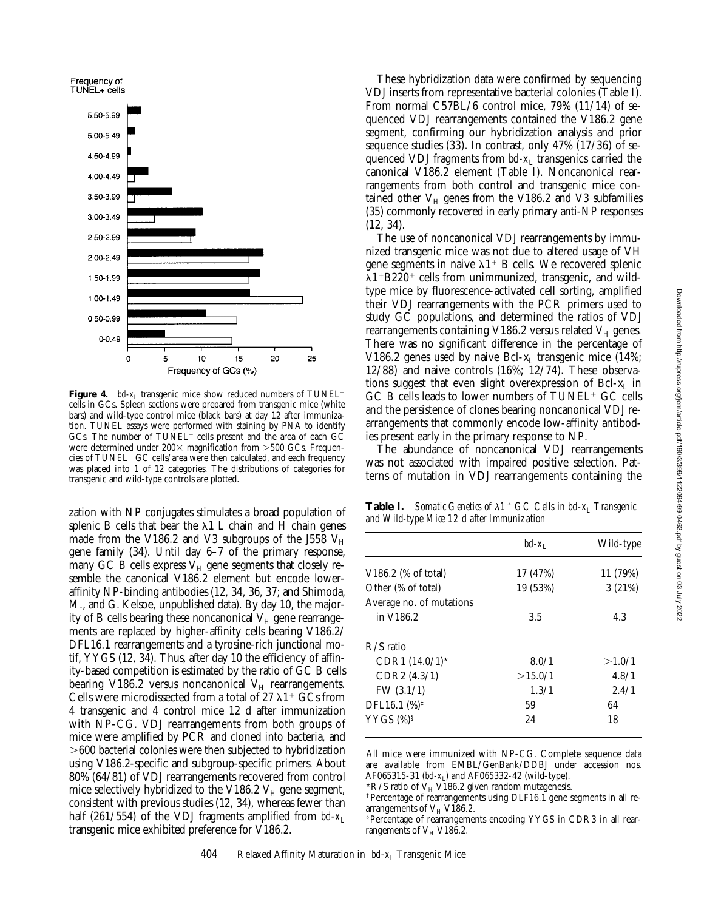

**Figure 4.** *bd-x*<sub>L</sub> transgenic mice show reduced numbers of TUNEL<sup>+</sup> cells in GCs. Spleen sections were prepared from transgenic mice (white bars) and wild-type control mice (black bars) at day 12 after immunization. TUNEL assays were performed with staining by PNA to identify GCs. The number of  $TUNEL^+$  cells present and the area of each  $GC$ were determined under  $200 \times$  magnification from  $>500$  GCs. Frequencies of  $TUNEL^+ GC$  cells/area were then calculated, and each frequency was placed into 1 of 12 categories. The distributions of categories for transgenic and wild-type controls are plotted.

zation with NP conjugates stimulates a broad population of splenic B cells that bear the  $\lambda$ 1 L chain and H chain genes made from the V186.2 and V3 subgroups of the J558  $V_H$ gene family (34). Until day 6–7 of the primary response, many GC B cells express  $V_H$  gene segments that closely resemble the canonical V186.2 element but encode loweraffinity NP-binding antibodies (12, 34, 36, 37; and Shimoda, M., and G. Kelsoe, unpublished data). By day 10, the majority of B cells bearing these noncanonical  $V_H$  gene rearrangements are replaced by higher-affinity cells bearing V186.2/ DFL16.1 rearrangements and a tyrosine-rich junctional motif, YYGS (12, 34). Thus, after day 10 the efficiency of affinity-based competition is estimated by the ratio of GC B cells bearing V186.2 versus noncanonical  $V_H$  rearrangements. Cells were microdissected from a total of 27  $\lambda$ 1<sup>+</sup> GCs from 4 transgenic and 4 control mice 12 d after immunization with NP-CG. VDJ rearrangements from both groups of mice were amplified by PCR and cloned into bacteria, and .600 bacterial colonies were then subjected to hybridization using V186.2-specific and subgroup-specific primers. About 80% (64/81) of VDJ rearrangements recovered from control mice selectively hybridized to the V186.2  $V_H$  gene segment, consistent with previous studies (12, 34), whereas fewer than half (261/554) of the VDJ fragments amplified from  $bd-x_L$ transgenic mice exhibited preference for V186.2.

These hybridization data were confirmed by sequencing VDJ inserts from representative bacterial colonies (Table I). From normal C57BL/6 control mice, 79% (11/14) of sequenced VDJ rearrangements contained the V186.2 gene segment, confirming our hybridization analysis and prior sequence studies (33). In contrast, only 47% (17/36) of sequenced VDJ fragments from  $bd-x_L$  transgenics carried the canonical V186.2 element (Table I). Noncanonical rearrangements from both control and transgenic mice contained other  $V_H$  genes from the V186.2 and V3 subfamilies (35) commonly recovered in early primary anti-NP responses (12, 34).

The use of noncanonical VDJ rearrangements by immunized transgenic mice was not due to altered usage of VH gene segments in naive  $\lambda1^+$  B cells. We recovered splenic  $\lambda$ 1<sup>+</sup>B220<sup>+</sup> cells from unimmunized, transgenic, and wildtype mice by fluorescence-activated cell sorting, amplified their VDJ rearrangements with the PCR primers used to study GC populations, and determined the ratios of VDJ rearrangements containing V186.2 versus related  $V_H$  genes. There was no significant difference in the percentage of V186.2 genes used by naive Bcl- $x_L$  transgenic mice (14%; 12/88) and naive controls (16%; 12/74). These observations suggest that even slight overexpression of Bcl- $x_L$  in  $GC$  B cells leads to lower numbers of  $TUNEL^+$   $GC$  cells and the persistence of clones bearing noncanonical VDJ rearrangements that commonly encode low-affinity antibodies present early in the primary response to NP.

The abundance of noncanonical VDJ rearrangements was not associated with impaired positive selection. Patterns of mutation in VDJ rearrangements containing the

**Table I.** *Somatic Genetics of*  $\lambda$ 1<sup>+</sup> *GC Cells in bcl-x<sub>L</sub> Transgenic and Wild-type Mice 12 d after Immunization*

|                           | $bd-x_1$ | Wild-type |
|---------------------------|----------|-----------|
| $V186.2$ (% of total)     | 17 (47%) | 11 (79%)  |
| Other (% of total)        | 19 (53%) | 3(21%)    |
| Average no. of mutations  |          |           |
| in V186.2                 | 3.5      | 4.3       |
| $R/S$ ratio               |          |           |
| $CDR1 (14.0/1)$ *         | 8.0/1    | >1.0/1    |
| CDR2 (4.3/1)              | >15.0/1  | 4.8/1     |
| FW $(3.1/1)$              | 1.3/1    | 2.4/1     |
| DFL16.1 $(\%)^{\ddagger}$ | 59       | 64        |
| YYGS $(\%)^{\S}$          | 2.4      | 18        |

All mice were immunized with NP-CG. Complete sequence data are available from EMBL/GenBank/DDBJ under accession nos. AF065315-31 (*bcl-x*<sub>L</sub>) and AF065332-42 (wild-type).

 $*R/S$  ratio of  $V_H$  V186.2 given random mutagenesis.

‡Percentage of rearrangements using DLF16.1 gene segments in all rearrangements of  $V_H$  V186.2.

§Percentage of rearrangements encoding YYGS in CDR3 in all rearrangements of  $V_H$  V186.2.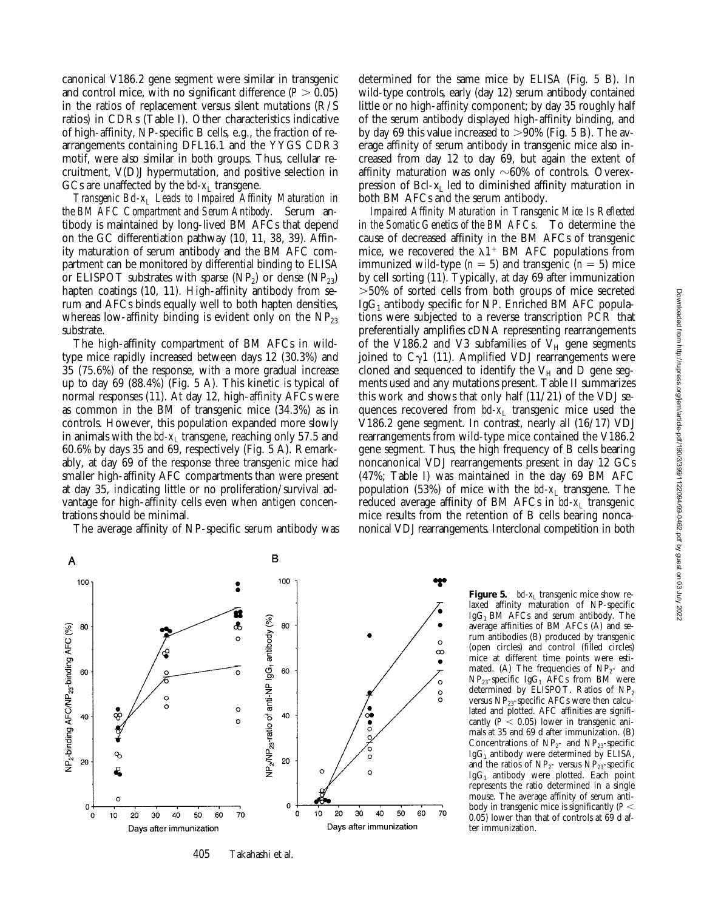canonical V186.2 gene segment were similar in transgenic and control mice, with no significant difference  $(P > 0.05)$ in the ratios of replacement versus silent mutations (R/S ratios) in CDRs (Table I). Other characteristics indicative of high-affinity, NP-specific B cells, e.g., the fraction of rearrangements containing DFL16.1 and the YYGS CDR3 motif, were also similar in both groups. Thus, cellular recruitment, V(D)J hypermutation, and positive selection in GCs are unaffected by the  $\mathit{bcl-x}_L$  transgene.

*Transgenic Bcl-x<sub>L</sub> Leads to Impaired Affinity Maturation in the BM AFC Compartment and Serum Antibody.* Serum antibody is maintained by long-lived BM AFCs that depend on the GC differentiation pathway (10, 11, 38, 39). Affinity maturation of serum antibody and the BM AFC compartment can be monitored by differential binding to ELISA or ELISPOT substrates with sparse  $(NP_2)$  or dense  $(NP_{23})$ hapten coatings (10, 11). High-affinity antibody from serum and AFCs binds equally well to both hapten densities, whereas low-affinity binding is evident only on the  $NP_{23}$ substrate.

The high-affinity compartment of BM AFCs in wildtype mice rapidly increased between days 12 (30.3%) and 35 (75.6%) of the response, with a more gradual increase up to day 69 (88.4%) (Fig. 5 A). This kinetic is typical of normal responses (11). At day 12, high-affinity AFCs were as common in the BM of transgenic mice (34.3%) as in controls. However, this population expanded more slowly in animals with the  $bd-x_L$  transgene, reaching only 57.5 and 60.6% by days 35 and 69, respectively (Fig. 5 A). Remarkably, at day 69 of the response three transgenic mice had smaller high-affinity AFC compartments than were present at day 35, indicating little or no proliferation/survival advantage for high-affinity cells even when antigen concentrations should be minimal.

The average affinity of NP-specific serum antibody was

determined for the same mice by ELISA (Fig. 5 B). In wild-type controls, early (day 12) serum antibody contained little or no high-affinity component; by day 35 roughly half of the serum antibody displayed high-affinity binding, and by day 69 this value increased to  $>90\%$  (Fig. 5 B). The average affinity of serum antibody in transgenic mice also increased from day 12 to day 69, but again the extent of affinity maturation was only  $\sim60\%$  of controls. Overexpression of Bcl- $x_L$  led to diminished affinity maturation in both BM AFCs and the serum antibody.

*Impaired Affinity Maturation in Transgenic Mice Is Reflected in the Somatic Genetics of the BM AFCs.* To determine the cause of decreased affinity in the BM AFCs of transgenic mice, we recovered the  $\lambda$ 1<sup>+</sup> BM AFC populations from immunized wild-type  $(n = 5)$  and transgenic  $(n = 5)$  mice by cell sorting (11). Typically, at day 69 after immunization .50% of sorted cells from both groups of mice secreted  $IgG_1$  antibody specific for NP. Enriched BM AFC populations were subjected to a reverse transcription PCR that preferentially amplifies cDNA representing rearrangements of the V186.2 and V3 subfamilies of  $V_H$  gene segments joined to  $C_{\gamma}1$  (11). Amplified VDJ rearrangements were cloned and sequenced to identify the  $V_H$  and D gene segments used and any mutations present. Table II summarizes this work and shows that only half (11/21) of the VDJ sequences recovered from *bcl-x*<sub>L</sub> transgenic mice used the V186.2 gene segment. In contrast, nearly all (16/17) VDJ rearrangements from wild-type mice contained the V186.2 gene segment. Thus, the high frequency of B cells bearing noncanonical VDJ rearrangements present in day 12 GCs (47%; Table I) was maintained in the day 69 BM AFC population (53%) of mice with the *bcl-x*L transgene. The reduced average affinity of BM AFCs in *bd-x*<sub>L</sub> transgenic mice results from the retention of B cells bearing noncanonical VDJ rearrangements. Interclonal competition in both



405 Takahashi et al.

**Figure 5.** *bcl-x*<sub>L</sub> transgenic mice show relaxed affinity maturation of NP-specific  $IgG_1$  BM AFCs and serum antibody. The average affinities of BM AFCs (A) and serum antibodies (B) produced by transgenic (open circles) and control (filled circles) mice at different time points were estimated. (A) The frequencies of  $NP_{2}$ - and  $NP<sub>23</sub>$ -specific IgG<sub>1</sub> AFCs from BM were determined by ELISPOT. Ratios of  $NP<sub>2</sub>$ versus  $NP_{23}$ -specific AFCs were then calculated and plotted. AFC affinities are significantly ( $P < 0.05$ ) lower in transgenic animals at 35 and 69 d after immunization. (B) Concentrations of  $NP_{2}$ - and  $NP_{23}$ -specific  $IgG<sub>1</sub>$  antibody were determined by ELISA, and the ratios of  $NP<sub>2</sub>$ - versus  $NP<sub>23</sub>$ -specific  $IgG_1$  antibody were plotted. Each point represents the ratio determined in a single mouse. The average affinity of serum antibody in transgenic mice is significantly  $(P <$ 0.05) lower than that of controls at 69 d after immunization.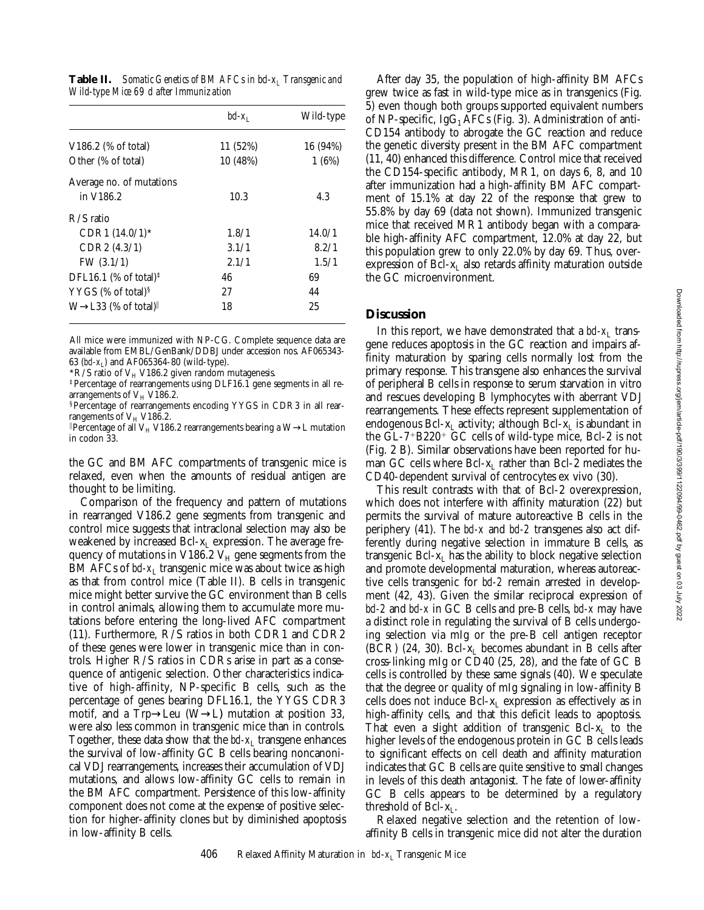|                                                       | $bd-x_1$ | Wild-type |
|-------------------------------------------------------|----------|-----------|
| $V186.2$ (% of total)                                 | 11 (52%) | 16 (94%)  |
| Other (% of total)                                    | 10 (48%) | 1(6%)     |
| Average no. of mutations                              |          |           |
| in V186.2                                             | 10.3     | 4.3       |
| $R/S$ ratio                                           |          |           |
| $CDR1 (14.0/1)$ *                                     | 1.8/1    | 14.0/1    |
| CDR2 (4.3/1)                                          | 3.1/1    | 8.2/1     |
| FW $(3.1/1)$                                          | 2.1/1    | 1.5/1     |
| DFL16.1 (% of total) <sup><math>\ddagger</math></sup> | 46       | 69        |
| YYGS $%$ of total) <sup>§</sup>                       | 27       | 44        |
| $W \rightarrow L33$ (% of total)                      | 18       | 25        |

All mice were immunized with NP-CG. Complete sequence data are available from EMBL/GenBank/DDBJ under accession nos. AF065343- 63 (*bd-x*<sub>L</sub>) and AF065364-80 (wild-type).

\*R/S ratio of  $V_H$  V186.2 given random mutagenesis.

‡Percentage of rearrangements using DLF16.1 gene segments in all rearrangements of  $V_H$  V186.2.

§Percentage of rearrangements encoding YYGS in CDR3 in all rearrangements of  $V_H$  V186.2.

<sup>*l*</sup>Percentage of all V<sub>H</sub> V186.2 rearrangements bearing a W→L mutation in codon 33.

the GC and BM AFC compartments of transgenic mice is relaxed, even when the amounts of residual antigen are thought to be limiting.

Comparison of the frequency and pattern of mutations in rearranged V186.2 gene segments from transgenic and control mice suggests that intraclonal selection may also be weakened by increased Bcl- $x_L$  expression. The average frequency of mutations in V186.2  $V_H$  gene segments from the BM AFCs of *bcl-x*<sub>L</sub> transgenic mice was about twice as high as that from control mice (Table II). B cells in transgenic mice might better survive the GC environment than B cells in control animals, allowing them to accumulate more mutations before entering the long-lived AFC compartment (11). Furthermore, R/S ratios in both CDR1 and CDR2 of these genes were lower in transgenic mice than in controls. Higher R/S ratios in CDRs arise in part as a consequence of antigenic selection. Other characteristics indicative of high-affinity, NP-specific B cells, such as the percentage of genes bearing DFL16.1, the YYGS CDR3 motif, and a Trp→Leu (W→L) mutation at position 33, were also less common in transgenic mice than in controls. Together, these data show that the  $bd-x_1$  transgene enhances the survival of low-affinity GC B cells bearing noncanonical VDJ rearrangements, increases their accumulation of VDJ mutations, and allows low-affinity GC cells to remain in the BM AFC compartment. Persistence of this low-affinity component does not come at the expense of positive selection for higher-affinity clones but by diminished apoptosis in low-affinity B cells.

After day 35, the population of high-affinity BM AFCs grew twice as fast in wild-type mice as in transgenics (Fig. 5) even though both groups supported equivalent numbers of NP-specific, IgG<sub>1</sub> AFCs (Fig. 3). Administration of anti-CD154 antibody to abrogate the GC reaction and reduce the genetic diversity present in the BM AFC compartment (11, 40) enhanced this difference. Control mice that received the CD154-specific antibody, MR1, on days 6, 8, and 10 after immunization had a high-affinity BM AFC compartment of 15.1% at day 22 of the response that grew to 55.8% by day 69 (data not shown). Immunized transgenic mice that received MR1 antibody began with a comparable high-affinity AFC compartment, 12.0% at day 22, but this population grew to only 22.0% by day 69. Thus, overexpression of  $Bcl-x_L$  also retards affinity maturation outside the GC microenvironment.

## **Discussion**

In this report, we have demonstrated that a  $bd-x_L$  transgene reduces apoptosis in the GC reaction and impairs affinity maturation by sparing cells normally lost from the primary response. This transgene also enhances the survival of peripheral B cells in response to serum starvation in vitro and rescues developing B lymphocytes with aberrant VDJ rearrangements. These effects represent supplementation of endogenous Bcl- $x_L$  activity; although Bcl- $x_L$  is abundant in the  $GL-7+B220+GC$  cells of wild-type mice, Bcl-2 is not (Fig. 2 B). Similar observations have been reported for human GC cells where  $Bcl-x<sub>L</sub>$  rather than Bcl-2 mediates the CD40-dependent survival of centrocytes ex vivo (30).

This result contrasts with that of Bcl-2 overexpression, which does not interfere with affinity maturation (22) but permits the survival of mature autoreactive B cells in the periphery (41). The *bcl-x* and *bcl-2* transgenes also act differently during negative selection in immature B cells, as transgenic Bcl- $x_L$  has the ability to block negative selection and promote developmental maturation, whereas autoreactive cells transgenic for *bcl-2* remain arrested in development (42, 43). Given the similar reciprocal expression of *bcl-2* and *bcl-x* in GC B cells and pre-B cells, *bcl-x* may have a distinct role in regulating the survival of B cells undergoing selection via mIg or the pre-B cell antigen receptor (BCR) (24, 30). Bcl- $x_L$  becomes abundant in B cells after cross-linking mIg or CD40 (25, 28), and the fate of GC B cells is controlled by these same signals (40). We speculate that the degree or quality of mIg signaling in low-affinity B cells does not induce Bcl-x<sub>L</sub> expression as effectively as in high-affinity cells, and that this deficit leads to apoptosis. That even a slight addition of transgenic Bcl- $x<sub>I</sub>$  to the higher levels of the endogenous protein in GC B cells leads to significant effects on cell death and affinity maturation indicates that GC B cells are quite sensitive to small changes in levels of this death antagonist. The fate of lower-affinity GC B cells appears to be determined by a regulatory threshold of Bcl- $x_L$ .

Relaxed negative selection and the retention of lowaffinity B cells in transgenic mice did not alter the duration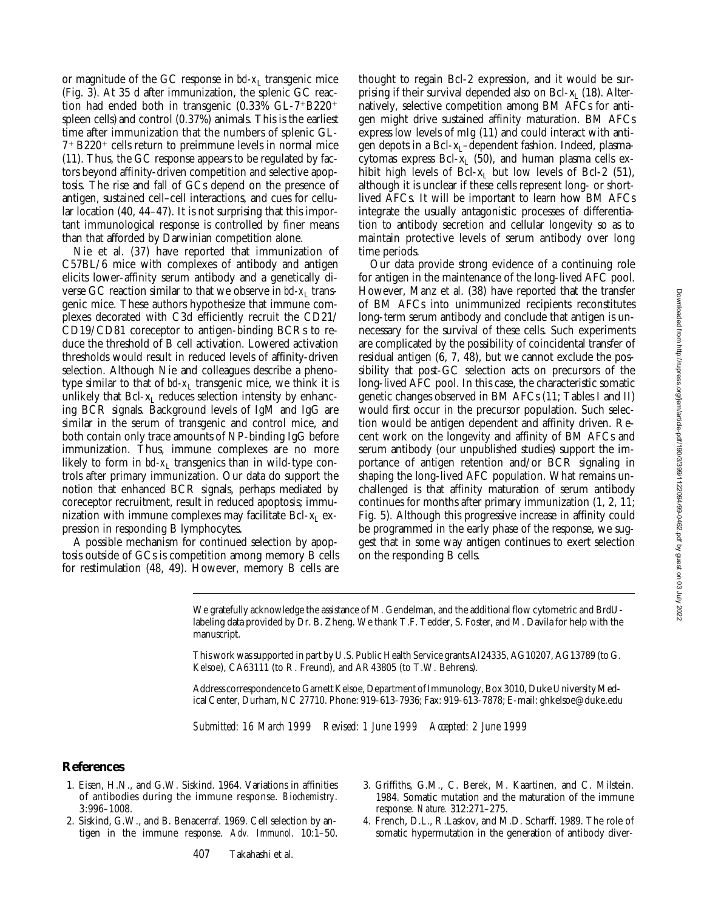or magnitude of the GC response in *bcl-x*<sub>L</sub> transgenic mice (Fig. 3). At 35 d after immunization, the splenic GC reaction had ended both in transgenic  $(0.33\% \text{ GL}-7^{+}B220^{+})$ spleen cells) and control  $(0.37\%)$  animals. This is the earliest time after immunization that the numbers of splenic GL- $7+$  B220<sup>+</sup> cells return to preimmune levels in normal mice (11). Thus, the GC response appears to be regulated by factors beyond affinity-driven competition and selective apoptosis. The rise and fall of GCs depend on the presence of antigen, sustained cell–cell interactions, and cues for cellular location (40, 44–47). It is not surprising that this important immunological response is controlled by finer means than that afforded by Darwinian competition alone.

Nie et al. (37) have reported that immunization of C57BL/6 mice with complexes of antibody and antigen elicits lower-affinity serum antibody and a genetically diverse GC reaction similar to that we observe in  $bd-x_L$  transgenic mice. These authors hypothesize that immune complexes decorated with C3d efficiently recruit the CD21/ CD19/CD81 coreceptor to antigen-binding BCRs to reduce the threshold of B cell activation. Lowered activation thresholds would result in reduced levels of affinity-driven selection. Although Nie and colleagues describe a phenotype similar to that of  $bd-x_L$  transgenic mice, we think it is unlikely that  $Bcl-x<sub>I</sub>$  reduces selection intensity by enhancing BCR signals. Background levels of IgM and IgG are similar in the serum of transgenic and control mice, and both contain only trace amounts of NP-binding IgG before immunization. Thus, immune complexes are no more likely to form in  $bd-x<sub>L</sub>$  transgenics than in wild-type controls after primary immunization. Our data do support the notion that enhanced BCR signals, perhaps mediated by coreceptor recruitment, result in reduced apoptosis; immunization with immune complexes may facilitate Bcl- $x_L$  expression in responding B lymphocytes.

A possible mechanism for continued selection by apoptosis outside of GCs is competition among memory B cells for restimulation (48, 49). However, memory B cells are thought to regain Bcl-2 expression, and it would be surprising if their survival depended also on Bcl- $x_L$  (18). Alternatively, selective competition among BM AFCs for antigen might drive sustained affinity maturation. BM AFCs express low levels of mIg (11) and could interact with antigen depots in a Bcl-x<sub>L</sub>-dependent fashion. Indeed, plasmacytomas express Bcl- $x_L$  (50), and human plasma cells exhibit high levels of Bcl- $x_L$  but low levels of Bcl-2 (51), although it is unclear if these cells represent long- or shortlived AFCs. It will be important to learn how BM AFCs integrate the usually antagonistic processes of differentiation to antibody secretion and cellular longevity so as to maintain protective levels of serum antibody over long time periods.

Our data provide strong evidence of a continuing role for antigen in the maintenance of the long-lived AFC pool. However, Manz et al. (38) have reported that the transfer of BM AFCs into unimmunized recipients reconstitutes long-term serum antibody and conclude that antigen is unnecessary for the survival of these cells. Such experiments are complicated by the possibility of coincidental transfer of residual antigen (6, 7, 48), but we cannot exclude the possibility that post-GC selection acts on precursors of the long-lived AFC pool. In this case, the characteristic somatic genetic changes observed in BM AFCs (11; Tables I and II) would first occur in the precursor population. Such selection would be antigen dependent and affinity driven. Recent work on the longevity and affinity of BM AFCs and serum antibody (our unpublished studies) support the importance of antigen retention and/or BCR signaling in shaping the long-lived AFC population. What remains unchallenged is that affinity maturation of serum antibody continues for months after primary immunization (1, 2, 11; Fig. 5). Although this progressive increase in affinity could be programmed in the early phase of the response, we suggest that in some way antigen continues to exert selection on the responding B cells.

We gratefully acknowledge the assistance of M. Gendelman, and the additional flow cytometric and BrdUlabeling data provided by Dr. B. Zheng. We thank T.F. Tedder, S. Foster, and M. Davila for help with the manuscript.

This work was supported in part by U.S. Public Health Service grants AI24335, AG10207, AG13789 (to G. Kelsoe), CA63111 (to R. Freund), and AR43805 (to T.W. Behrens).

Address correspondence to Garnett Kelsoe, Department of Immunology, Box 3010, Duke University Medical Center, Durham, NC 27710. Phone: 919-613-7936; Fax: 919-613-7878; E-mail: ghkelsoe@duke.edu

*Submitted: 16 March 1999 Revised: 1 June 1999 Accepted: 2 June 1999*

## **References**

- 1. Eisen, H.N., and G.W. Siskind. 1964. Variations in affinities of antibodies during the immune response. *Biochemistry*. 3:996–1008.
- 2. Siskind, G.W., and B. Benacerraf. 1969. Cell selection by antigen in the immune response. *Adv. Immunol*. 10:1–50.
- 3. Griffiths, G.M., C. Berek, M. Kaartinen, and C. Milstein. 1984. Somatic mutation and the maturation of the immune response. *Nature.* 312:271–275.
- 4. French, D.L., R.Laskov, and M.D. Scharff. 1989. The role of somatic hypermutation in the generation of antibody diver-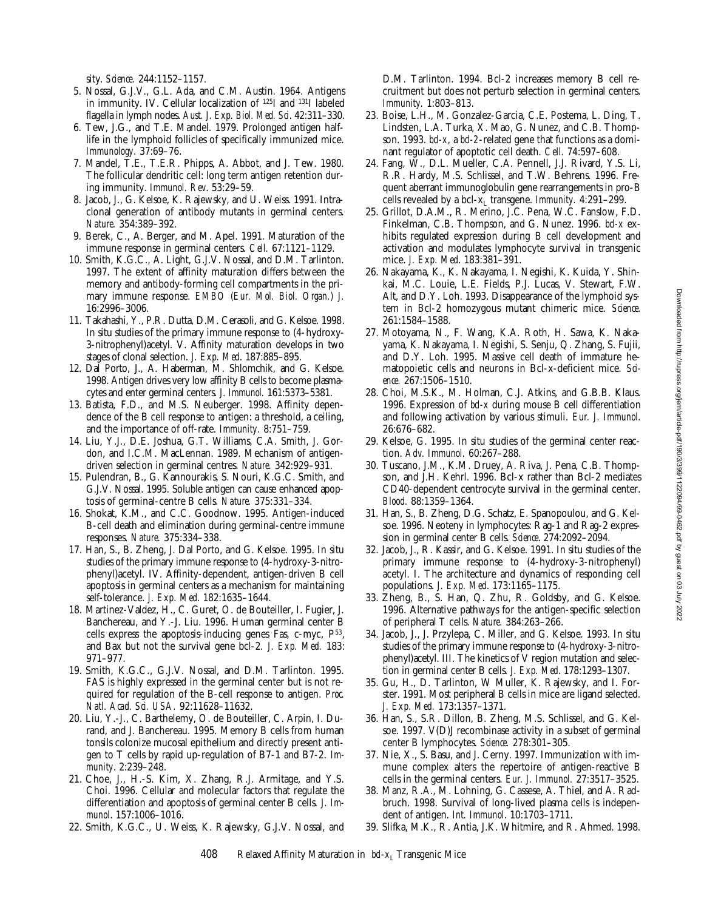sity. *Science.* 244:1152–1157.

- 5. Nossal, G.J.V., G.L. Ada, and C.M. Austin. 1964. Antigens in immunity. IV. Cellular localization of 125I and 131I labeled flagella in lymph nodes. *Aust. J. Exp. Biol. Med. Sci*. 42:311–330.
- 6. Tew, J.G., and T.E. Mandel. 1979. Prolonged antigen halflife in the lymphoid follicles of specifically immunized mice. *Immunology.* 37:69–76.
- 7. Mandel, T.E., T.E.R. Phipps, A. Abbot, and J. Tew. 1980. The follicular dendritic cell: long term antigen retention during immunity. *Immunol. Rev*. 53:29–59.
- 8. Jacob, J., G. Kelsoe, K. Rajewsky, and U. Weiss. 1991. Intraclonal generation of antibody mutants in germinal centers. *Nature.* 354:389–392.
- 9. Berek, C., A. Berger, and M. Apel. 1991. Maturation of the immune response in germinal centers. *Cell.* 67:1121–1129.
- 10. Smith, K.G.C., A. Light, G.J.V. Nossal, and D.M. Tarlinton. 1997. The extent of affinity maturation differs between the memory and antibody-forming cell compartments in the primary immune response. *EMBO (Eur. Mol. Biol. Organ.) J.* 16:2996–3006.
- 11. Takahashi, Y., P.R. Dutta, D.M. Cerasoli, and G. Kelsoe. 1998. In situ studies of the primary immune response to (4-hydroxy-3-nitrophenyl)acetyl. V. Affinity maturation develops in two stages of clonal selection. *J. Exp. Med*. 187:885–895.
- 12. Dal Porto, J., A. Haberman, M. Shlomchik, and G. Kelsoe. 1998. Antigen drives very low affinity B cells to become plasmacytes and enter germinal centers. *J. Immunol.* 161:5373–5381.
- 13. Batista, F.D., and M.S. Neuberger. 1998. Affinity dependence of the B cell response to antigen: a threshold, a ceiling, and the importance of off-rate. *Immunity.* 8:751–759.
- 14. Liu, Y.J., D.E. Joshua, G.T. Williams, C.A. Smith, J. Gordon, and I.C.M. MacLennan. 1989. Mechanism of antigendriven selection in germinal centres. *Nature.* 342:929–931.
- 15. Pulendran, B., G. Kannourakis, S. Nouri, K.G.C. Smith, and G.J.V. Nossal. 1995. Soluble antigen can cause enhanced apoptosis of germinal-centre B cells. *Nature.* 375:331–334.
- 16. Shokat, K.M., and C.C. Goodnow. 1995. Antigen-induced B-cell death and elimination during germinal-centre immune responses. *Nature.* 375:334–338.
- 17. Han, S., B. Zheng, J. Dal Porto, and G. Kelsoe. 1995. In situ studies of the primary immune response to (4-hydroxy-3-nitrophenyl)acetyl. IV. Affinity-dependent, antigen-driven B cell apoptosis in germinal centers as a mechanism for maintaining self-tolerance. *J. Exp. Med*. 182:1635–1644.
- 18. Martinez-Valdez, H., C. Guret, O. de Bouteiller, I. Fugier, J. Banchereau, and Y.-J. Liu. 1996. Human germinal center B cells express the apoptosis-inducing genes Fas, c-myc,  $P^{53}$ , and Bax but not the survival gene bcl-2. *J. Exp. Med.* 183: 971–977.
- 19. Smith, K.G.C., G.J.V. Nossal, and D.M. Tarlinton. 1995. FAS is highly expressed in the germinal center but is not required for regulation of the B-cell response to antigen. *Proc. Natl. Acad. Sci. USA.* 92:11628–11632.
- 20. Liu, Y.-J., C. Barthelemy, O. de Bouteiller, C. Arpin, I. Durand, and J. Banchereau. 1995. Memory B cells from human tonsils colonize mucosal epithelium and directly present antigen to T cells by rapid up-regulation of B7-1 and B7-2. *Immunity*. 2:239–248.
- 21. Choe, J., H.-S. Kim, X. Zhang, R.J. Armitage, and Y.S. Choi. 1996. Cellular and molecular factors that regulate the differentiation and apoptosis of germinal center B cells. *J. Immunol*. 157:1006–1016.
- 22. Smith, K.G.C., U. Weiss, K. Rajewsky, G.J.V. Nossal, and

D.M. Tarlinton. 1994. Bcl-2 increases memory B cell recruitment but does not perturb selection in germinal centers. *Immunity.* 1:803–813.

- 23. Boise, L.H., M. Gonzalez-Garcia, C.E. Postema, L. Ding, T. Lindsten, L.A. Turka, X. Mao, G. Nunez, and C.B. Thompson. 1993. *bcl-x*, a *bcl-2*-related gene that functions as a dominant regulator of apoptotic cell death. *Cell.* 74:597–608.
- 24. Fang, W., D.L. Mueller, C.A. Pennell, J.J. Rivard, Y.S. Li, R.R. Hardy, M.S. Schlissel, and T.W. Behrens. 1996. Frequent aberrant immunoglobulin gene rearrangements in pro-B cells revealed by a bcl-xL transgene. *Immunity.* 4:291–299.
- 25. Grillot, D.A.M., R. Merino, J.C. Pena, W.C. Fanslow, F.D. Finkelman, C.B. Thompson, and G. Nunez. 1996. *bcl-x* exhibits regulated expression during B cell development and activation and modulates lymphocyte survival in transgenic mice. *J. Exp. Med*. 183:381–391.
- 26. Nakayama, K., K. Nakayama, I. Negishi, K. Kuida, Y. Shinkai, M.C. Louie, L.E. Fields, P.J. Lucas, V. Stewart, F.W. Alt, and D.Y. Loh. 1993. Disappearance of the lymphoid system in Bcl-2 homozygous mutant chimeric mice. *Science.* 261:1584–1588.
- 27. Motoyama, N., F. Wang, K.A. Roth, H. Sawa, K. Nakayama, K. Nakayama, I. Negishi, S. Senju, Q. Zhang, S. Fujii, and D.Y. Loh. 1995. Massive cell death of immature hematopoietic cells and neurons in Bcl-x-deficient mice. *Science.* 267:1506–1510.
- 28. Choi, M.S.K., M. Holman, C.J. Atkins, and G.B.B. Klaus. 1996. Expression of *bcl-x* during mouse B cell differentiation and following activation by various stimuli. *Eur. J. Immunol.* 26:676–682.
- 29. Kelsoe, G. 1995. In situ studies of the germinal center reaction. *Adv. Immunol.* 60:267–288.
- 30. Tuscano, J.M., K.M. Druey, A. Riva, J. Pena, C.B. Thompson, and J.H. Kehrl. 1996. Bcl-x rather than Bcl-2 mediates CD40-dependent centrocyte survival in the germinal center. *Blood.* 88:1359–1364.
- 31. Han, S., B. Zheng, D.G. Schatz, E. Spanopoulou, and G. Kelsoe. 1996. Neoteny in lymphocytes: Rag-1 and Rag-2 expression in germinal center B cells. *Science*. 274:2092–2094.
- 32. Jacob, J., R. Kassir, and G. Kelsoe. 1991. In situ studies of the primary immune response to (4-hydroxy-3-nitrophenyl) acetyl. I. The architecture and dynamics of responding cell populations. *J. Exp. Med*. 173:1165–1175.
- 33. Zheng, B., S. Han, Q. Zhu, R. Goldsby, and G. Kelsoe. 1996. Alternative pathways for the antigen-specific selection of peripheral T cells. *Nature.* 384:263–266.
- 34. Jacob, J., J. Przylepa, C. Miller, and G. Kelsoe. 1993. In situ studies of the primary immune response to (4-hydroxy-3-nitrophenyl)acetyl. III. The kinetics of V region mutation and selection in germinal center B cells. *J. Exp. Med*. 178:1293–1307.
- 35. Gu, H., D. Tarlinton, W Muller, K. Rajewsky, and I. Forster. 1991. Most peripheral B cells in mice are ligand selected. *J. Exp. Med.* 173:1357–1371.
- 36. Han, S., S.R. Dillon, B. Zheng, M.S. Schlissel, and G. Kelsoe. 1997. V(D)J recombinase activity in a subset of germinal center B lymphocytes. *Science.* 278:301–305.
- 37. Nie, X., S. Basu, and J. Cerny. 1997. Immunization with immune complex alters the repertoire of antigen-reactive B cells in the germinal centers. *Eur. J. Immunol.* 27:3517–3525.
- 38. Manz, R.A., M. Lohning, G. Cassese, A. Thiel, and A. Radbruch. 1998. Survival of long-lived plasma cells is independent of antigen. *Int. Immunol*. 10:1703–1711.
- 39. Slifka, M.K., R. Antia, J.K. Whitmire, and R. Ahmed. 1998.